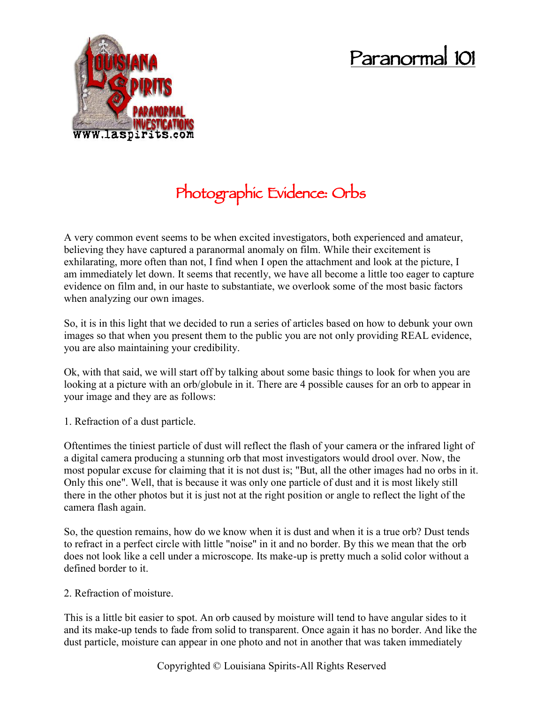## **Paranormal 101**



## **Photographic Evidence: Orbs**

A very common event seems to be when excited investigators, both experienced and amateur, believing they have captured a paranormal anomaly on film. While their excitement is exhilarating, more often than not, I find when I open the attachment and look at the picture, I am immediately let down. It seems that recently, we have all become a little too eager to capture evidence on film and, in our haste to substantiate, we overlook some of the most basic factors when analyzing our own images.

So, it is in this light that we decided to run a series of articles based on how to debunk your own images so that when you present them to the public you are not only providing REAL evidence, you are also maintaining your credibility.

Ok, with that said, we will start off by talking about some basic things to look for when you are looking at a picture with an orb/globule in it. There are 4 possible causes for an orb to appear in your image and they are as follows:

1. Refraction of a dust particle.

Oftentimes the tiniest particle of dust will reflect the flash of your camera or the infrared light of a digital camera producing a stunning orb that most investigators would drool over. Now, the most popular excuse for claiming that it is not dust is; "But, all the other images had no orbs in it. Only this one". Well, that is because it was only one particle of dust and it is most likely still there in the other photos but it is just not at the right position or angle to reflect the light of the camera flash again.

So, the question remains, how do we know when it is dust and when it is a true orb? Dust tends to refract in a perfect circle with little "noise" in it and no border. By this we mean that the orb does not look like a cell under a microscope. Its make-up is pretty much a solid color without a defined border to it.

2. Refraction of moisture.

This is a little bit easier to spot. An orb caused by moisture will tend to have angular sides to it and its make-up tends to fade from solid to transparent. Once again it has no border. And like the dust particle, moisture can appear in one photo and not in another that was taken immediately